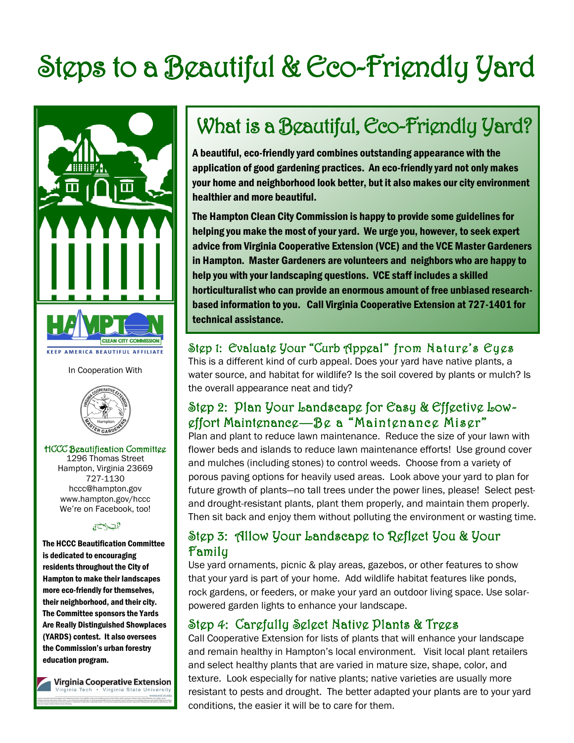# Steps to a Beautiful & Eco-Friendly Yard



In Cooperation With



HCCC Beautification Committee

1296 Thomas Street Hampton, Virginia 23669 727-1130 hccc@hampton.gov www.hampton.gov/hccc We're on Facebook, too!

#### الشلاخة

The HCCC Beautification Committee is dedicated to encouraging residents throughout the City of Hampton to make their landscapes more eco-friendly for themselves, their neighborhood, and their city. The Committee sponsors the Yards Are Really Distinguished Showplaces (YARDS) contest. It also oversees the Commission's urban forestry education program.

**Virginia Cooperative Extension** ginia Tech . Virginia State University

# What is a Beautiful, Eco-Friendly Yard?

A beautiful, eco-friendly yard combines outstanding appearance with the application of good gardening practices. An eco-friendly yard not only makes your home and neighborhood look better, but it also makes our city environment healthier and more beautiful.

The Hampton Clean City Commission is happy to provide some guidelines for helping you make the most of your yard. We urge you, however, to seek expert advice from Virginia Cooperative Extension (VCE) and the VCE Master Gardeners in Hampton. Master Gardeners are volunteers and neighbors who are happy to help you with your landscaping questions. VCE staff includes a skilled horticulturalist who can provide an enormous amount of free unbiased researchbased information to you. Call Virginia Cooperative Extension at 727-1401 for technical assistance.

#### Step 1: Evaluate Your "Curb Appeal" from Nature's Eyes

This is a different kind of curb appeal. Does your yard have native plants, a water source, and habitat for wildlife? Is the soil covered by plants or mulch? Is the overall appearance neat and tidy?

#### Step 2: Plan Your Landscape for Easy & Effective Loweffort Maintenance—Be a "Maintenance Miser"

Plan and plant to reduce lawn maintenance. Reduce the size of your lawn with flower beds and islands to reduce lawn maintenance efforts! Use ground cover and mulches (including stones) to control weeds. Choose from a variety of porous paving options for heavily used areas. Look above your yard to plan for future growth of plants—no tall trees under the power lines, please! Select pestand drought-resistant plants, plant them properly, and maintain them properly. Then sit back and enjoy them without polluting the environment or wasting time.

#### Step 3: Allow Your Landscape to Reflect You & Your Family

Use yard ornaments, picnic & play areas, gazebos, or other features to show that your yard is part of your home. Add wildlife habitat features like ponds, rock gardens, or feeders, or make your yard an outdoor living space. Use solarpowered garden lights to enhance your landscape.

# Step 4: Carefully Select Native Plants & Trees

Call Cooperative Extension for lists of plants that will enhance your landscape and remain healthy in Hampton's local environment. Visit local plant retailers and select healthy plants that are varied in mature size, shape, color, and texture. Look especially for native plants; native varieties are usually more resistant to pests and drought. The better adapted your plants are to your yard conditions, the easier it will be to care for them.